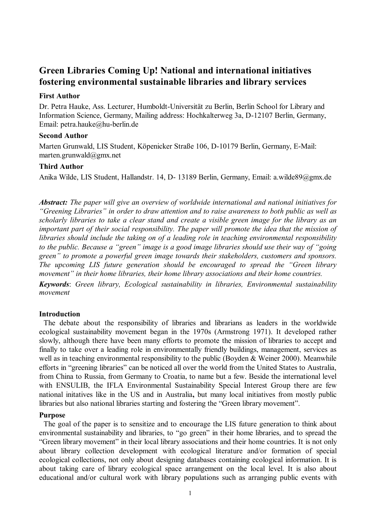# **Green Libraries Coming Up! National and international initiatives fostering environmental sustainable libraries and library services**

# **First Author**

Dr. Petra Hauke, Ass. Lecturer, Humboldt-Universität zu Berlin, Berlin School for Library and Information Science, Germany, Mailing address: Hochkalterweg 3a, D-12107 Berlin, Germany, Email: petra.hauke@hu-berlin.de

# **Second Author**

Marten Grunwald, LIS Student, Köpenicker Straße 106, D-10179 Berlin, Germany, E-Mail: marten.grunwald@gmx.net

# **Third Author**

Anika Wilde, LIS Student, Hallandstr. 14, D- 13189 Berlin, Germany, Email: a.wilde89@gmx.de

*Abstract: The paper will give an overview of worldwide international and national initiatives for "Greening Libraries" in order to draw attention and to raise awareness to both public as well as scholarly libraries to take a clear stand and create a visible green image for the library as an important part of their social responsibility. The paper will promote the idea that the mission of libraries should include the taking on of a leading role in teaching environmental responsibility to the public. Because a "green" image is a good image libraries should use their way of "going green" to promote a powerful green image towards their stakeholders, customers and sponsors. The upcoming LIS future generation should be encouraged to spread the "Green library movement" in their home libraries, their home library associations and their home countries.*

*Keywords*: *Green library, Ecological sustainability in libraries, Environmental sustainability movement*

# **Introduction**

The debate about the responsibility of libraries and librarians as leaders in the worldwide ecological sustainability movement began in the 1970s (Armstrong 1971). It developed rather slowly, although there have been many efforts to promote the mission of libraries to accept and finally to take over a leading role in environmentally friendly buildings, management, services as well as in teaching environmental responsibility to the public (Boyden & Weiner 2000). Meanwhile efforts in "greening libraries" can be noticed all over the world from the United States to Australia, from China to Russia, from Germany to Croatia, to name but a few. Beside the international level with ENSULIB, the IFLA Environmental Sustainability Special Interest Group there are few national initatives like in the US and in Australia**,** but many local initiatives from mostly public libraries but also national libraries starting and fostering the "Green library movement".

# **Purpose**

The goal of the paper is to sensitize and to encourage the LIS future generation to think about environmental sustainability and libraries, to "go green" in their home libraries, and to spread the "Green library movement" in their local library associations and their home countries. It is not only about library collection development with ecological literature and/or formation of special ecological collections, not only about designing databases containing ecological information. It is about taking care of library ecological space arrangement on the local level. It is also about educational and/or cultural work with library populations such as arranging public events with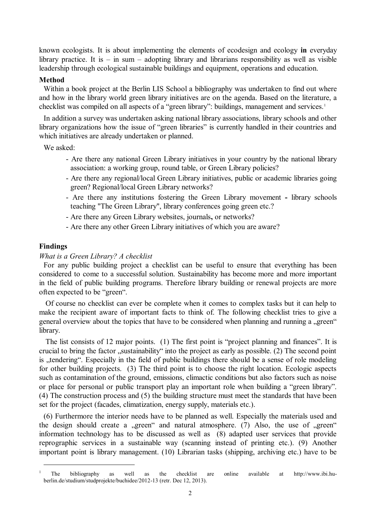known ecologists. It is about implementing the elements of ecodesign and ecology **in** everyday library practice. It is  $-$  in sum  $-$  adopting library and librarians responsibility as well as visible leadership through ecological sustainable buildings and equipment, operations and education.

# **Method**

Within a book project at the Berlin LIS School a bibliography was undertaken to find out where and how in the library world green library initiatives are on the agenda. Based on the literature, a checklist was compiled on all aspects of a "green library": buildings, management and services.<sup>1</sup>

In addition a survey was undertaken asking national library associations, library schools and other library organizations how the issue of "green libraries" is currently handled in their countries and which initiatives are already undertaken or planned.

We asked:

- Are there any national Green Library initiatives in your country by the national library association: a working group, round table, or Green Library policies?
- Are there any regional/local Green Library initiatives, public or academic libraries going green? Regional/local Green Library networks?
- Are there any institutions fostering the Green Library movement **-** library schools teaching "The Green Library", library conferences going green etc.?
- Are there any Green Library websites, journals**,** or networks?
- Are there any other Green Library initiatives of which you are aware?

#### **Findings**

 $\overline{a}$ 

#### *What is a Green Library? A checklist*

For any public building project a checklist can be useful to ensure that everything has been considered to come to a successful solution. Sustainability has become more and more important in the field of public building programs. Therefore library building or renewal projects are more often expected to be "green".

Of course no checklist can ever be complete when it comes to complex tasks but it can help to make the recipient aware of important facts to think of. The following checklist tries to give a general overview about the topics that have to be considered when planning and running a "green" library.

The list consists of 12 major points. (1) The first point is "project planning and finances". It is crucial to bring the factor "sustainability" into the project as early as possible. (2) The second point is "tendering". Especially in the field of public buildings there should be a sense of role modeling for other building projects. (3) The third point is to choose the right location. Ecologic aspects such as contamination of the ground, emissions, climactic conditions but also factors such as noise or place for personal or public transport play an important role when building a "green library". (4) The construction process and (5) the building structure must meet the standards that have been set for the project (facades, climatization, energy supply, materials etc.).

(6) Furthermore the interior needs have to be planned as well. Especially the materials used and the design should create a "green" and natural atmosphere.  $(7)$  Also, the use of "green" information technology has to be discussed as well as (8) adapted user services that provide reprographic services in a sustainable way (scanning instead of printing etc.). (9) Another important point is library management. (10) Librarian tasks (shipping, archiving etc.) have to be

<sup>&</sup>lt;sup>1</sup> The bibliography as well as the checklist are online available at [http://www.ibi.hu](http://www.ibi.hu-berlin.de/studium/studprojekte/buchidee/2012-13)[berlin.de/studium/studprojekte/buchidee/2012-13](http://www.ibi.hu-berlin.de/studium/studprojekte/buchidee/2012-13) (retr. Dec 12, 2013).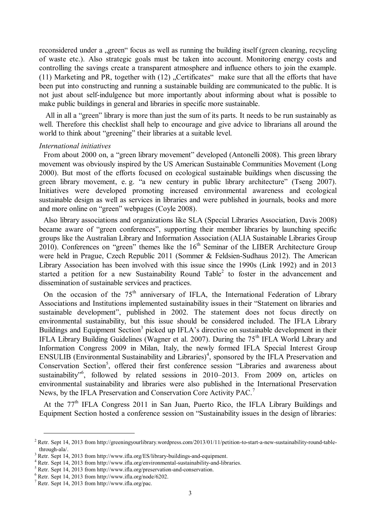reconsidered under a "green" focus as well as running the building itself (green cleaning, recycling of waste etc.). Also strategic goals must be taken into account. Monitoring energy costs and controlling the savings create a transparent atmosphere and influence others to join the example. (11) Marketing and PR, together with  $(12)$  "Certificates" make sure that all the efforts that have been put into constructing and running a sustainable building are communicated to the public. It is not just about self-indulgence but more importantly about informing about what is possible to make public buildings in general and libraries in specific more sustainable.

All in all a "green" library is more than just the sum of its parts. It needs to be run sustainably as well. Therefore this checklist shall help to encourage and give advice to librarians all around the world to think about "greening" their libraries at a suitable level.

#### *International initiatives*

From about 2000 on, a "green library movement" developed (Antonelli 2008). This green library movement was obviously inspired by the US American Sustainable Communities Movement (Long 2000). But most of the efforts focused on ecological sustainable buildings when discussing the green library movement, e. g. "a new century in public library architecture" (Tseng 2007). Initiatives were developed promoting increased environmental awareness and ecological sustainable design as well as services in libraries and were published in journals, books and more and more online on "green" webpages (Coyle 2008).

Also library associations and organizations like SLA (Special Libraries Association, Davis 2008) became aware of "green conferences", supporting their member libraries by launching specific groups like the Australian Library and Information Association (ALIA Sustainable Libraries Group 2010). Conferences on "green" themes like the  $16<sup>th</sup>$  Seminar of the LIBER Architecture Group were held in Prague, Czech Republic 2011 (Sommer & Feldsien-Sudhaus 2012). The American Library Association has been involved with this issue since the 1990s (Link 1992) and in 2013 started a petition for a new Sustainability Round Table<sup>2</sup> to foster in the advancement and dissemination of sustainable services and practices.

On the occasion of the  $75<sup>th</sup>$  anniversary of IFLA, the International Federation of Library Associations and Institutions implemented sustainability issues in their "Statement on libraries and sustainable development", published in 2002. The statement does not focus directly on environmental sustainability, but this issue should be considered included. The IFLA Library Buildings and Equipment Section<sup>3</sup> picked up IFLA's directive on sustainable development in their IFLA Library Building Guidelines (Wagner et al. 2007). During the 75<sup>th</sup> IFLA World Library and Information Congress 2009 in Milan, Italy, the newly formed IFLA Special Interest Group  $ENSULIB$  (Environmental Sustainability and Libraries)<sup>4</sup>, sponsored by the IFLA Preservation and Conservation Section<sup>5</sup>, offered their first conference session "Libraries and awareness about sustainability"<sup>6</sup>, followed by related sessions in 2010–2013. From 2009 on, articles on environmental sustainability and libraries were also published in the International Preservation News, by the IFLA Preservation and Conservation Core Activity PAC.<sup>7</sup>

At the 77<sup>th</sup> IFLA Congress 2011 in San Juan, Puerto Rico, the IFLA Library Buildings and Equipment Section hosted a conference session on "Sustainability issues in the design of libraries:

 $\overline{a}$ 

 $2$  Retr. Sept 14, 2013 from http://greeningyourlibrary.wordpress.com/2013/01/11/petition-to-start-a-new-sustainability-round-tablethrough-ala/.

<sup>&</sup>lt;sup>3</sup> Retr. Sept 14, 2013 from http://www.ifla.org/ES/library-buildings-and-equipment.

<sup>&</sup>lt;sup>4</sup> Retr. Sept 14, 2013 from http://www.ifla.org/environmental-sustainability-and-libraries.

<sup>5</sup> Retr. Sept 14, 2013 from http://www.ifla.org/preservation-and-conservation.

<sup>6</sup> Retr. Sept 14, 2013 from http://www.ifla.org/node/6202.

<sup>7</sup> Retr. Sept 14, 2013 from http://www.ifla.org/pac.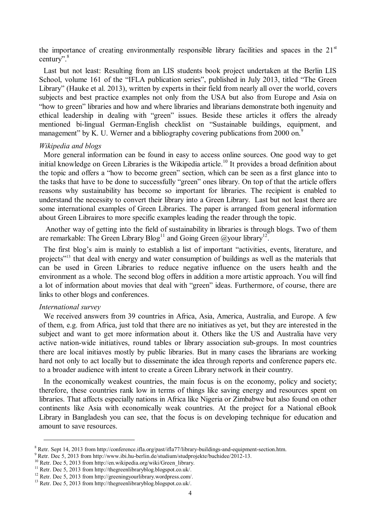the importance of creating environmentally responsible library facilities and spaces in the  $21<sup>st</sup>$ century".<sup>8</sup>

Last but not least: Resulting from an LIS students book project undertaken at the Berlin LIS School, volume 161 of the "IFLA publication series", published in July 2013, titled "The Green Library" (Hauke et al. 2013), written by experts in their field from nearly all over the world, covers subjects and best practice examples not only from the USA but also from Europe and Asia on "how to green" libraries and how and where libraries and librarians demonstrate both ingenuity and ethical leadership in dealing with "green" issues. Beside these articles it offers the already mentioned bi-lingual German-English checklist on "Sustainable buildings, equipment, and management" by K. U. Werner and a bibliography covering publications from 2000 on.<sup>9</sup>

#### *Wikipedia and blogs*

More general information can be found in easy to access online sources. One good way to get initial knowledge on Green Libraries is the Wikipedia article. <sup>10</sup> It provides a broad definition about the topic and offers a "how to become green" section, which can be seen as a first glance into to the tasks that have to be done to successfully "green" ones library. On top of that the article offers reasons why sustainability has become so important for libraries. The recipient is enabled to understand the necessity to convert their library into a Green Library. Last but not least there are some international examples of Green Libraries. The paper is arranged from general information about Green Libraires to more specific examples leading the reader through the topic.

Another way of getting into the field of sustainability in libraries is through blogs. Two of them are remarkable: The Green Library Blog<sup>11</sup> and Going Green @your library<sup>12</sup>.

The first blog"s aim is mainly to establish a list of important "activities, events, literature, and projects"<sup>13</sup> that deal with energy and water consumption of buildings as well as the materials that can be used in Green Libraries to reduce negative influence on the users health and the environment as a whole. The second blog offers in addition a more artistic approach. You will find a lot of information about movies that deal with "green" ideas. Furthermore, of course, there are links to other blogs and conferences.

## *International survey*

 $\overline{a}$ 

We received answers from 39 countries in Africa, Asia, America, Australia, and Europe. A few of them, e.g. from Africa, just told that there are no initiatives as yet, but they are interested in the subject and want to get more information about it. Others like the US and Australia have very active nation-wide initiatives, round tables or library association sub-groups. In most countries there are local initiaves mostly by public libraries. But in many cases the librarians are working hard not only to act locally but to disseminate the idea through reports and conference papers etc. to a broader audience with intent to create a Green Library network in their country.

In the economically weakest countries, the main focus is on the economy, policy and society; therefore, these countries rank low in terms of things like saving energy and resources spent on libraries. That affects especially nations in Africa like Nigeria or Zimbabwe but also found on other continents like Asia with economically weak countries. At the project for a National eBook Library in Bangladesh you can see, that the focus is on developing technique for education and amount to save resources.

<sup>8</sup> Retr. Sept 14, 2013 from http://conference.ifla.org/past/ifla77/library-buildings-and-equipment-section.htm.

<sup>&</sup>lt;sup>9</sup> Retr. Dec 5, 2013 from http://www.ibi.hu-berlin.de/studium/studprojekte/buchidee/2012-13.

<sup>&</sup>lt;sup>10</sup> Retr. Dec 5, 2013 from http://en.wikipedia.org/wiki/Green\_library.

<sup>11</sup> Retr. Dec 5, 2013 from http://thegreenlibraryblog.blogspot.co.uk/.

<sup>12</sup> Retr. Dec 5, 2013 from http://greeningyourlibrary.wordpress.com/.

<sup>13</sup> Retr. Dec 5, 2013 from http://thegreenlibraryblog.blogspot.co.uk/.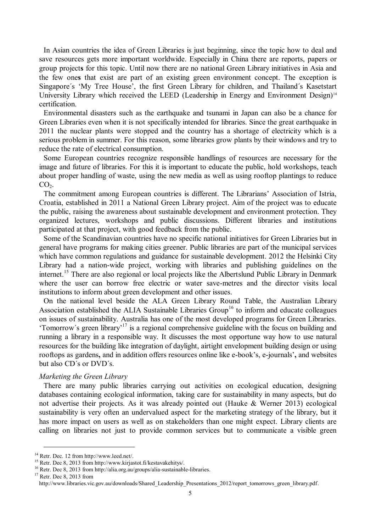In Asian countries the idea of Green Libraries is just beginning, since the topic how to deal and save resources gets more important worldwide. Especially in China there are reports, papers or group project**s** for this topic. Until now there are no national Green Library initiatives in Asia and the few one**s** that exist are part of an existing green environment concept. The exception is Singapore's 'My Tree House', the first Green Library for children, and Thailand's Kasetstart University Library which received the LEED (Leadership in Energy and Environment Design)<sup>14</sup> certification.

Environmental disasters such as the earthquake and tsunami in Japan can also be a chance for Green Libraries even when it is not specifically intended for libraries. Since the great earthquake in 2011 the nuclear plants were stopped and the country has a shortage of electricity which is a serious problem in summer. For this reason, some libraries grow plants by their windows and try to reduce the rate of electrical consumption.

Some European countries recognize responsible handlings of resources are necessary for the image and future of libraries. For this it is important to educate the public, hold workshops, teach about proper handling of waste, using the new media as well as using rooftop plantings to reduce  $CO<sub>2</sub>$ .

The commitment among European countries is different. The Librarians" Association of Istria, Croatia, established in 2011 a National Green Library project. Aim of the project was to educate the public, raising the awareness about sustainable development and environment protection. They organized lectures, workshops and public discussions. Different libraries and institutions participated at that project, with good feedback from the public.

Some of the Scandinavian countries have no specific national initiatives for Green Libraries but in general have programs for making cities greener. Public libraries are part of the municipal services which have common regulations and guidance for sustainable development. 2012 the Helsinki City Library had a nation-wide project, working with libraries and publishing guidelines on the internet.<sup>15</sup> There are also regional or local projects like the Albertslund Public Library in Denmark where the user can borrow free electric or water save-metres and the director visits local institutions to inform about green development and other issues.

On the national level beside the ALA Green Library Round Table, the Australian Library Association established the ALIA Sustainable Libraries Group<sup>16</sup> to inform and educate colleagues on issues of sustainability. Australia has one of the most developed programs for Green Libraries. "Tomorrow´s green library"<sup>17</sup> is a regional comprehensive guideline with the focus on building and running a library in a responsible way. It discusses the most opportune way how to use natural resources for the building like integration of daylight, airtight envelopment building design or using rooftops as gardens**,** and in addition offers resources online like e-book"s, e-journals"**,** and websites but also CD´s or DVD´s.

#### *Marketing the Green Library*

There are many public libraries carrying out activities on ecological education, designing databases containing ecological information, taking care for sustainability in many aspects, but do not advertise their projects. As it was already pointed out (Hauke & Werner 2013) ecological sustainability is very often an undervalued aspect for the marketing strategy of the library, but it has more impact on users as well as on stakeholders than one might expect. Library clients are calling on libraries not just to provide common services but to communicate a visible green

 $\overline{a}$ 

<sup>14</sup> Retr. Dec. 12 from http://www.leed.net/.

<sup>15</sup> Retr. Dec 8, 2013 from http://www.kirjastot.fi/kestavakehitys/.

<sup>&</sup>lt;sup>16</sup> Retr. Dec 8, 2013 from [http://alia.org.au/groups/alia-sustainable-libraries.](http://moodle.hu-berlin.de/%20http:/alia.org.au/groups/alia-sustainable-libraries)

<sup>&</sup>lt;sup>17</sup> Retr. Dec 8, 2013 from

[http://www.libraries.vic.gov.au/downloads/Shared\\_Leadership\\_Presentations\\_2012/report\\_tomorrows\\_green\\_library.pdf.](http://www.libraries.vic.gov.au/downloads/Shared_Leadership_Presentations_2012/report_tomorrows_green_library.pdf)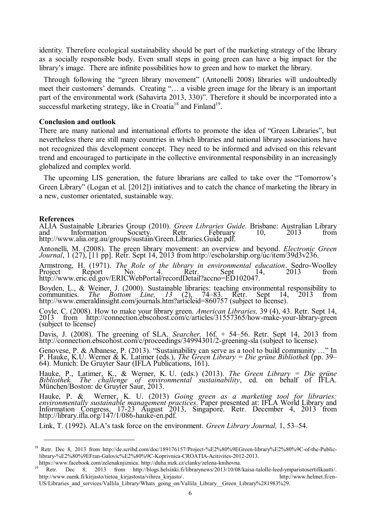identity. Therefore ecological sustainability should be part of the marketing strategy of the library as a socially responsible body. Even small steps in going green can have a big impact for the library"s image. There are infinite possibilities how to green and how to market the library.

Through following the "green library movement" (Antonelli 2008) libraries will undoubtedly meet their customers' demands. Creating "... a visible green image for the library is an important part of the environmental work (Sahavirta 2013, 330)". Therefore it should be incorporated into a successful marketing strategy, like in Croatia<sup>18</sup> and Finland<sup>19</sup>.

#### **Conclusion and outlook**

There are many national and international efforts to promote the idea of "Green Libraries", but nevertheless there are still many countries in which libraries and national library associations have not recognized this development concept. They need to be informed and advised on this relevant trend and encouraged to participate in the collective environmental responsibility in an increasingly globalized and complex world.

The upcoming LIS generation, the future librarians are called to take over the "Tomorrow"s Green Library" (Logan et al. [2012]) initiatives and to catch the chance of marketing the library in a new, customer orientated, sustainable way.

#### **References**

 $\overline{a}$ 

ALIA Sustainable Libraries Group (2010). *Green Libraries Guide.* Brisbane: Australian Library and Information Society. Retr. February 10, 2013 from http://www.alia.org.au/groups/sustain/Green.Libraries.Guide.pdf.

Antonelli, M. (2008). The green library movement: an overview and beyond. *Electronic Green Journal*, 1 (27), [11 pp]. Retr. Sept 14, 2013 from http://escholarship.org/uc/item/39d3v236.

Armstrong, H. (1971). *The Role of the library in environmental education*. Sedro-Woolley Project Report No.  $\frac{4}{4}$  Retr. Sept 14, 2013 from http://www.eric.ed.gov/ERICWebPortal/recordDetail?accno=ED102047.

Boyden, L., & Weiner, J. (2000). Sustainable libraries: teaching environmental responsibility to communities. *The Bottom Line, 13* (2), 74–83. Retr. Sept 14, 2013 from http://www.emeraldinsight.com/journals.htm?articleid=860757 (subject to license).

Coyle, C. (2008). How to make your library green. *American Libraries,* 39 (4), 43. Retr. Sept 14, 2013 from http://connection.ebscohost.com/c/articles/31557365/how-make-your-library-green (subject to license)

Davis, J. (2008). The greening of SLA. *Searcher,* 16f. + 54–56. Retr. Sept 14, 2013 from http://connection.ebscohost.com/c/proceedings/34994301/2-greening-sla (subject to license).

Genovese, P. & Albanese, P. (2013). "Sustainability can serve as a tool to build community …" In P. Hauke, K.U. Werner & K. Latimer (eds.), *The Green Library = Die grüne Bibliothek* (pp. 39– 64). Munich: De Gruyter Saur (IFLA Publications, 161).

Hauke, P., Latimer, K., & Werner, K. U. (eds.) (2013). *The Green Library = Die grüne Bibliothek. The challenge of environmental sustainability*, ed. on behalf of IFLA. München/Boston: de Gruyter Saur, 2013.

Hauke, P. & Werner, K. U. (2013) *Going green as a marketing tool for libraries: environmentally sustainable management practices*. Paper presented at: IFLA World Library and Information Congress, 17-23 August 2013, Singapore. Retr. December 4, 2013 from [http://library.ifla.org/147/1/086-hauke-en.pdf.](http://library.ifla.org/147/1/086-hauke-en.pdf)

Link, T. (1992). ALA"s task force on the environment. *Green Library Journal,* 1, 53–54.

<sup>&</sup>lt;sup>18</sup> Retr. Dec 8, 2013 from [http://de.scribd.com/doc/189176157/Project-%E2%80%9EGreen-library%E2%80%9C-of-the-Public](http://de.scribd.com/doc/189176157/Project-%E2%80%9EGreen-library%E2%80%9C-of-the-Public-library-%E2%80%9EFran-Galovic%E2%80%9C-Koprivnica-CROATIA-Acitivites-2012-2013)[library-%E2%80%9EFran-Galovic%E2%80%9C-Koprivnica-CROATIA-Acitivites-2012-2013.](http://de.scribd.com/doc/189176157/Project-%E2%80%9EGreen-library%E2%80%9C-of-the-Public-library-%E2%80%9EFran-Galovic%E2%80%9C-Koprivnica-CROATIA-Acitivites-2012-2013) [https://www.facebook.com/zelenaknjiznica.](https://www.facebook.com/zelenaknjiznica) http://duha.mzk.cz/clanky/zelena-knihovna.

<sup>19</sup> Retr. Dec 8, 2013 from [http://blogs.helsinki.fi/librarynews/2013/10/08/kaisa-talolle-leed-ymparistosertifikaatti/.](http://blogs.helsinki.fi/librarynews/2013/10/08/kaisa-talolle-leed-ymparistosertifikaatti/) [http://www.oamk.fi/kirjasto/tietoa\\_kirjastosta/vihrea\\_kirjasto/.](http://www.oamk.fi/kirjasto/tietoa_kirjastosta/vihrea_kirjasto/) http://www.helmet.fi/en-US/Libraries and services/Vallila\_Library/Whats\_going\_on/Vallila\_Library\_Green\_Library%281983%29.